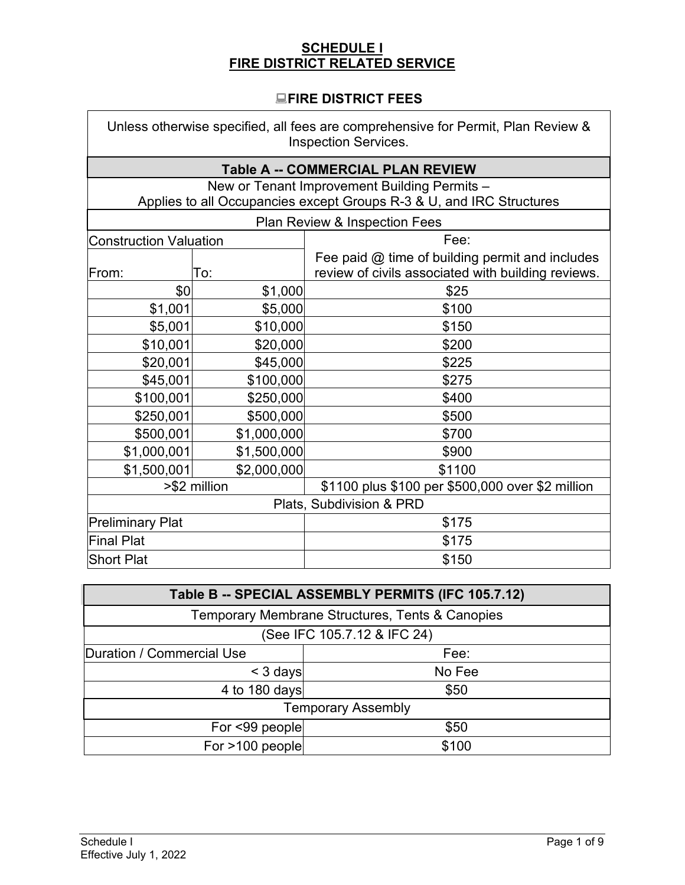# **SCHEDULE I FIRE DISTRICT RELATED SERVICE**

## **FIRE DISTRICT FEES**

| Unless otherwise specified, all fees are comprehensive for Permit, Plan Review &<br><b>Inspection Services.</b> |             |                                                                                                         |
|-----------------------------------------------------------------------------------------------------------------|-------------|---------------------------------------------------------------------------------------------------------|
|                                                                                                                 |             | <b>Table A -- COMMERCIAL PLAN REVIEW</b>                                                                |
|                                                                                                                 |             | New or Tenant Improvement Building Permits -                                                            |
|                                                                                                                 |             | Applies to all Occupancies except Groups R-3 & U, and IRC Structures                                    |
|                                                                                                                 |             | Plan Review & Inspection Fees                                                                           |
| <b>Construction Valuation</b>                                                                                   |             | Fee:                                                                                                    |
| From:                                                                                                           | To:         | Fee paid $@$ time of building permit and includes<br>review of civils associated with building reviews. |
| \$0                                                                                                             | \$1,000     | \$25                                                                                                    |
| \$1,001                                                                                                         | \$5,000     | \$100                                                                                                   |
| \$5,001                                                                                                         | \$10,000    | \$150                                                                                                   |
| \$10,001                                                                                                        | \$20,000    | \$200                                                                                                   |
| \$20,001                                                                                                        | \$45,000    | \$225                                                                                                   |
| \$45,001                                                                                                        | \$100,000   | \$275                                                                                                   |
| \$100,001                                                                                                       | \$250,000   | \$400                                                                                                   |
| \$250,001                                                                                                       | \$500,000   | \$500                                                                                                   |
| \$500,001                                                                                                       | \$1,000,000 | \$700                                                                                                   |
| \$1,000,001                                                                                                     | \$1,500,000 | \$900                                                                                                   |
| \$1,500,001                                                                                                     | \$2,000,000 | \$1100                                                                                                  |
| >\$2 million                                                                                                    |             | \$1100 plus \$100 per \$500,000 over \$2 million                                                        |
| Plats, Subdivision & PRD                                                                                        |             |                                                                                                         |
| <b>Preliminary Plat</b>                                                                                         |             | \$175                                                                                                   |
| Final Plat                                                                                                      |             | \$175                                                                                                   |
| <b>Short Plat</b>                                                                                               |             | \$150                                                                                                   |

| Table B -- SPECIAL ASSEMBLY PERMITS (IFC 105.7.12) |        |  |
|----------------------------------------------------|--------|--|
| Temporary Membrane Structures, Tents & Canopies    |        |  |
| (See IFC 105.7.12 & IFC 24)                        |        |  |
| Duration / Commercial Use                          | Fee:   |  |
| $<$ 3 days                                         | No Fee |  |
| 4 to 180 days                                      | \$50   |  |
| <b>Temporary Assembly</b>                          |        |  |
| For <99 people                                     | \$50   |  |
| For >100 people                                    | \$100  |  |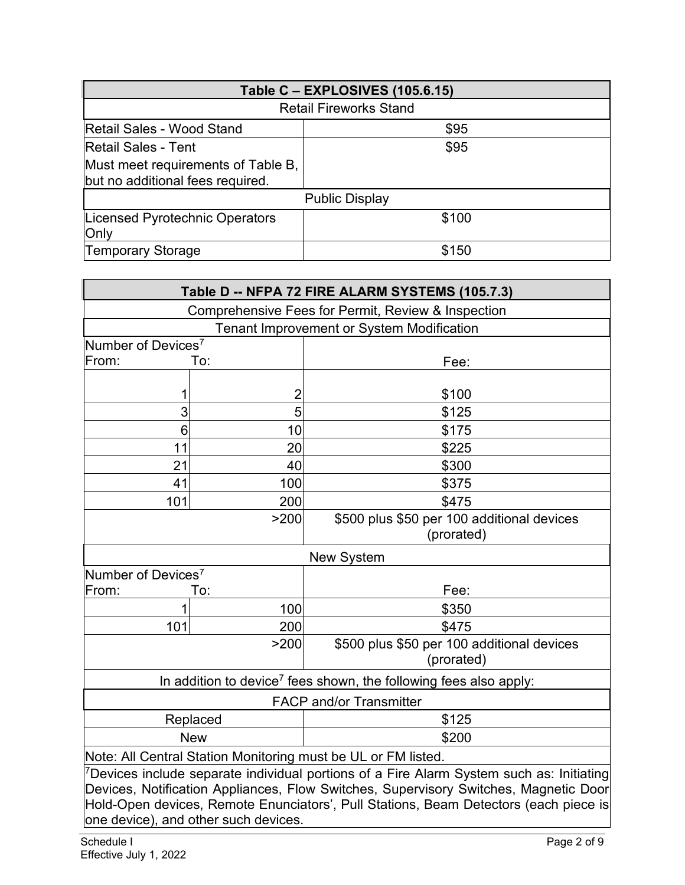| Table C - EXPLOSIVES (105.6.15)                                        |       |  |
|------------------------------------------------------------------------|-------|--|
| <b>Retail Fireworks Stand</b>                                          |       |  |
| Retail Sales - Wood Stand                                              | \$95  |  |
| <b>Retail Sales - Tent</b>                                             | \$95  |  |
| Must meet requirements of Table B,<br>but no additional fees required. |       |  |
| <b>Public Display</b>                                                  |       |  |
| Licensed Pyrotechnic Operators<br>Only                                 | \$100 |  |
| <b>Temporary Storage</b>                                               | \$150 |  |

| Table D -- NFPA 72 FIRE ALARM SYSTEMS (105.7.3)                                                      |                                                  |                                            |  |
|------------------------------------------------------------------------------------------------------|--------------------------------------------------|--------------------------------------------|--|
| Comprehensive Fees for Permit, Review & Inspection                                                   |                                                  |                                            |  |
|                                                                                                      | <b>Tenant Improvement or System Modification</b> |                                            |  |
| Number of Devices <sup>7</sup>                                                                       |                                                  |                                            |  |
| From:                                                                                                | To:                                              | Fee:                                       |  |
|                                                                                                      |                                                  |                                            |  |
| 1                                                                                                    | $\overline{c}$                                   | \$100                                      |  |
| 3                                                                                                    | 5                                                | \$125                                      |  |
| 6                                                                                                    | 10                                               | \$175                                      |  |
| 11                                                                                                   | 20                                               | \$225                                      |  |
| 21                                                                                                   | 40                                               | \$300                                      |  |
| 41                                                                                                   | 100                                              | \$375                                      |  |
| 101                                                                                                  | 200                                              | \$475                                      |  |
|                                                                                                      | >200                                             | \$500 plus \$50 per 100 additional devices |  |
|                                                                                                      |                                                  | (prorated)                                 |  |
| <b>New System</b>                                                                                    |                                                  |                                            |  |
| Number of Devices <sup>7</sup>                                                                       |                                                  |                                            |  |
| From:                                                                                                | To:                                              | Fee:                                       |  |
|                                                                                                      | 100                                              | \$350                                      |  |
| 101                                                                                                  | 200                                              | \$475                                      |  |
|                                                                                                      | >200                                             | \$500 plus \$50 per 100 additional devices |  |
|                                                                                                      |                                                  | (prorated)                                 |  |
| In addition to device <sup>7</sup> fees shown, the following fees also apply:                        |                                                  |                                            |  |
| <b>FACP and/or Transmitter</b>                                                                       |                                                  |                                            |  |
| Replaced                                                                                             |                                                  | \$125                                      |  |
|                                                                                                      | <b>New</b>                                       | \$200                                      |  |
| Note: All Central Station Monitoring must be UL or FM listed.                                        |                                                  |                                            |  |
| <sup>7</sup> Devices include separate individual portions of a Fire Alarm System such as: Initiating |                                                  |                                            |  |
| Devices, Notification Appliances, Flow Switches, Supervisory Switches, Magnetic Door                 |                                                  |                                            |  |

Hold-Open devices, Remote Enunciators', Pull Stations, Beam Detectors (each piece is

one device), and other such devices.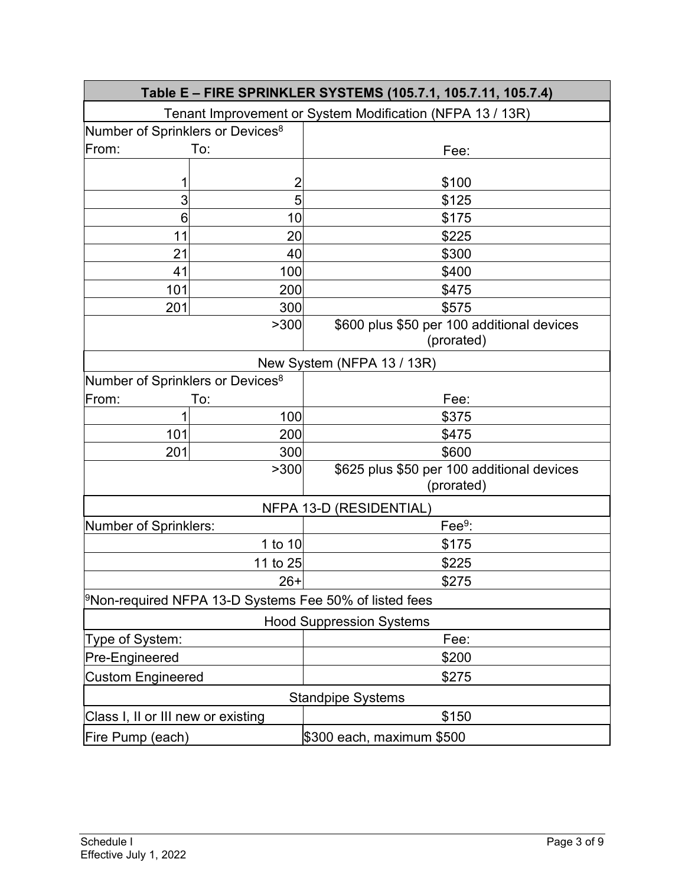| Table E - FIRE SPRINKLER SYSTEMS (105.7.1, 105.7.11, 105.7.4)        |                |                                            |
|----------------------------------------------------------------------|----------------|--------------------------------------------|
| Tenant Improvement or System Modification (NFPA 13 / 13R)            |                |                                            |
| Number of Sprinklers or Devices <sup>8</sup>                         |                |                                            |
| To:<br>From:                                                         |                | Fee:                                       |
|                                                                      |                |                                            |
| 1                                                                    | $\overline{c}$ | \$100                                      |
| 3                                                                    | 5              | \$125                                      |
| 6                                                                    | 10             | \$175                                      |
| 11                                                                   | 20             | \$225                                      |
| 21                                                                   | 40             | \$300                                      |
| 41                                                                   | 100            | \$400                                      |
| 101                                                                  | 200            | \$475                                      |
| 201                                                                  | 300            | \$575                                      |
|                                                                      | >300           | \$600 plus \$50 per 100 additional devices |
|                                                                      |                | (prorated)                                 |
| New System (NFPA 13 / 13R)                                           |                |                                            |
| Number of Sprinklers or Devices <sup>8</sup>                         |                |                                            |
| From:                                                                | To:            | Fee:                                       |
| 1                                                                    | 100            | \$375                                      |
| 101                                                                  | 200            | \$475                                      |
| 201                                                                  | 300            | \$600                                      |
| >300                                                                 |                | \$625 plus \$50 per 100 additional devices |
|                                                                      |                | (prorated)                                 |
|                                                                      |                | NFPA 13-D (RESIDENTIAL)                    |
| Number of Sprinklers:                                                |                | Fee $9$ :                                  |
|                                                                      | 1 to 10        | \$175                                      |
|                                                                      | 11 to 25       | \$225                                      |
|                                                                      | $26+$          | \$275                                      |
| $\,{}^{\circ}$ Non-required NFPA 13-D Systems Fee 50% of listed fees |                |                                            |
| <b>Hood Suppression Systems</b>                                      |                |                                            |
| Type of System:                                                      |                | Fee:                                       |
| Pre-Engineered                                                       |                | \$200                                      |
| <b>Custom Engineered</b>                                             |                | \$275                                      |
|                                                                      |                | <b>Standpipe Systems</b>                   |
| Class I, II or III new or existing                                   |                | \$150                                      |
| Fire Pump (each)                                                     |                | \$300 each, maximum \$500                  |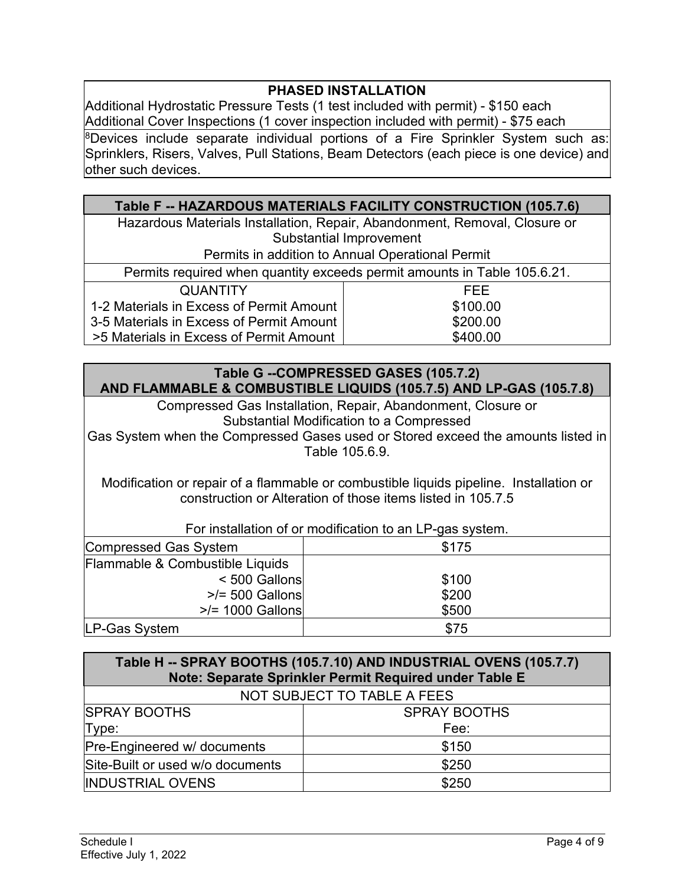## **PHASED INSTALLATION**

Additional Hydrostatic Pressure Tests (1 test included with permit) - \$150 each Additional Cover Inspections (1 cover inspection included with permit) - \$75 each

 $8$ Devices include separate individual portions of a Fire Sprinkler System such as: Sprinklers, Risers, Valves, Pull Stations, Beam Detectors (each piece is one device) and other such devices.

## **Table F -- HAZARDOUS MATERIALS FACILITY CONSTRUCTION (105.7.6)**

Hazardous Materials Installation, Repair, Abandonment, Removal, Closure or Substantial Improvement

Permits in addition to Annual Operational Permit

|  | Permits required when quantity exceeds permit amounts in Table 105.6.21. |
|--|--------------------------------------------------------------------------|
|  |                                                                          |

| QUANTITY                                   | FFF.     |
|--------------------------------------------|----------|
| 1-2 Materials in Excess of Permit Amount I | \$100.00 |
| 3-5 Materials in Excess of Permit Amount   | \$200.00 |
| >5 Materials in Excess of Permit Amount    | \$400.00 |

#### **Table G --COMPRESSED GASES (105.7.2) AND FLAMMABLE & COMBUSTIBLE LIQUIDS (105.7.5) AND LP-GAS (105.7.8)**

Compressed Gas Installation, Repair, Abandonment, Closure or Substantial Modification to a Compressed Gas System when the Compressed Gases used or Stored exceed the amounts listed in

Table 105.6.9.

Modification or repair of a flammable or combustible liquids pipeline. Installation or construction or Alteration of those items listed in 105.7.5

| For installation of or modification to an LP-gas system. |       |  |
|----------------------------------------------------------|-------|--|
| Compressed Gas System                                    | \$175 |  |
| Flammable & Combustible Liquids                          |       |  |
| < 500 Gallons                                            | \$100 |  |
| $>$ /= 500 Gallons                                       | \$200 |  |
| $\ge$ /= 1000 Gallons                                    | \$500 |  |
| LP-Gas System                                            | \$75  |  |

| Table H -- SPRAY BOOTHS (105.7.10) AND INDUSTRIAL OVENS (105.7.7)<br>Note: Separate Sprinkler Permit Required under Table E |                     |  |
|-----------------------------------------------------------------------------------------------------------------------------|---------------------|--|
| NOT SUBJECT TO TABLE A FEES                                                                                                 |                     |  |
| <b>SPRAY BOOTHS</b>                                                                                                         | <b>SPRAY BOOTHS</b> |  |
| Type:                                                                                                                       | Fee:                |  |
| Pre-Engineered w/ documents                                                                                                 | \$150               |  |
| Site-Built or used w/o documents                                                                                            | \$250               |  |
| <b>INDUSTRIAL OVENS</b>                                                                                                     | \$250               |  |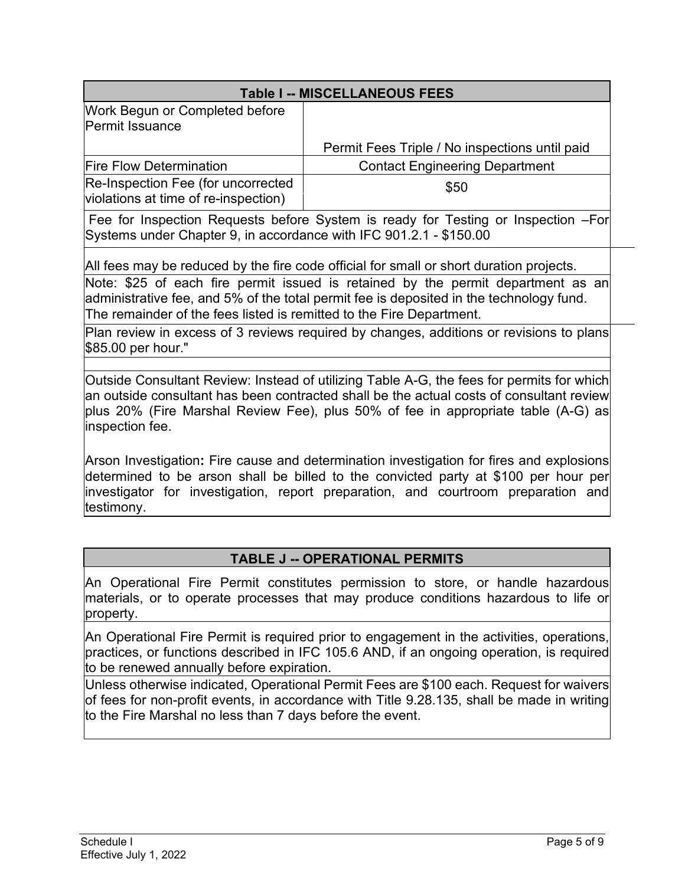| <b>Table I -- MISCELLANEOUS FEES</b>                                                                                                                                                                                                                                                                                                           |                                                |  |
|------------------------------------------------------------------------------------------------------------------------------------------------------------------------------------------------------------------------------------------------------------------------------------------------------------------------------------------------|------------------------------------------------|--|
| Work Begun or Completed before<br>Permit Issuance                                                                                                                                                                                                                                                                                              |                                                |  |
|                                                                                                                                                                                                                                                                                                                                                | Permit Fees Triple / No inspections until paid |  |
| <b>Fire Flow Determination</b>                                                                                                                                                                                                                                                                                                                 | <b>Contact Engineering Department</b>          |  |
| Re-Inspection Fee (for uncorrected<br>violations at time of re-inspection)                                                                                                                                                                                                                                                                     | \$50                                           |  |
| Fee for Inspection Requests before System is ready for Testing or Inspection -For<br>Systems under Chapter 9, in accordance with IFC 901.2.1 - \$150.00                                                                                                                                                                                        |                                                |  |
| All fees may be reduced by the fire code official for small or short duration projects.<br>Note: \$25 of each fire permit issued is retained by the permit department as an<br>administrative fee, and 5% of the total permit fee is deposited in the technology fund.<br>The remainder of the fees listed is remitted to the Fire Department. |                                                |  |
| Plan review in excess of 3 reviews required by changes, additions or revisions to plans<br>\$85.00 per hour."                                                                                                                                                                                                                                  |                                                |  |
| Outside Consultant Review: Instead of utilizing Table A-G, the fees for permits for which<br>an outside consultant has been contracted shall be the actual costs of consultant review<br>plus 20% (Fire Marshal Review Fee), plus 50% of fee in appropriate table (A-G) as<br>inspection fee.                                                  |                                                |  |
| Arson Investigation: Fire cause and determination investigation for fires and explosions<br>determined to be arson shall be billed to the convicted party at \$100 per hour per                                                                                                                                                                |                                                |  |

investigator for investigation, report preparation, and courtroom preparation and testimony.

## **TABLE J -- OPERATIONAL PERMITS**

An Operational Fire Permit constitutes permission to store, or handle hazardous  $|$ materials, or to operate processes that may produce conditions hazardous to life or $|$ property.

An Operational Fire Permit is required prior to engagement in the activities, operations, practices, or functions described in IFC 105.6 AND, if an ongoing operation, is required to be renewed annually before expiration.

Unless otherwise indicated, Operational Permit Fees are \$100 each. Request for waivers of fees for non-profit events, in accordance with Title 9.28.135, shall be made in writing to the Fire Marshal no less than 7 days before the event.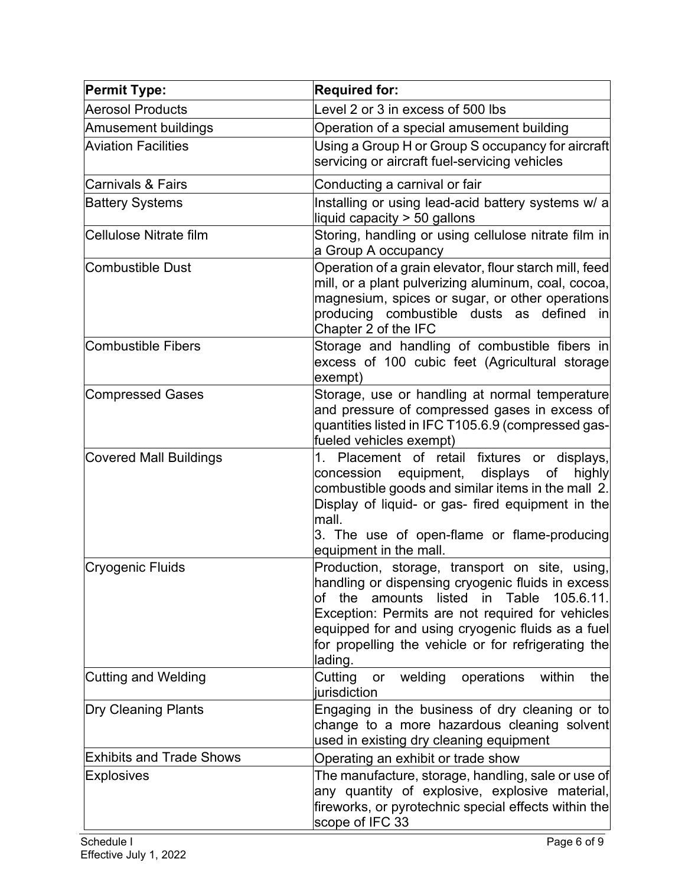| <b>Permit Type:</b>             | <b>Required for:</b>                                                                                                                                                                                                                                                                                                                      |
|---------------------------------|-------------------------------------------------------------------------------------------------------------------------------------------------------------------------------------------------------------------------------------------------------------------------------------------------------------------------------------------|
| Aerosol Products                | Level 2 or 3 in excess of 500 lbs                                                                                                                                                                                                                                                                                                         |
| <b>Amusement buildings</b>      | Operation of a special amusement building                                                                                                                                                                                                                                                                                                 |
| <b>Aviation Facilities</b>      | Using a Group H or Group S occupancy for aircraft<br>servicing or aircraft fuel-servicing vehicles                                                                                                                                                                                                                                        |
| <b>Carnivals &amp; Fairs</b>    | Conducting a carnival or fair                                                                                                                                                                                                                                                                                                             |
| <b>Battery Systems</b>          | Installing or using lead-acid battery systems w/ a<br>liquid capacity > 50 gallons                                                                                                                                                                                                                                                        |
| <b>Cellulose Nitrate film</b>   | Storing, handling or using cellulose nitrate film in<br>a Group A occupancy                                                                                                                                                                                                                                                               |
| <b>Combustible Dust</b>         | Operation of a grain elevator, flour starch mill, feed<br>mill, or a plant pulverizing aluminum, coal, cocoa,<br>magnesium, spices or sugar, or other operations<br>producing combustible dusts as defined<br>inl<br>Chapter 2 of the IFC                                                                                                 |
| <b>Combustible Fibers</b>       | Storage and handling of combustible fibers in<br>excess of 100 cubic feet (Agricultural storage<br>exempt)                                                                                                                                                                                                                                |
| <b>Compressed Gases</b>         | Storage, use or handling at normal temperature<br>and pressure of compressed gases in excess of<br>quantities listed in IFC T105.6.9 (compressed gas-<br>fueled vehicles exempt)                                                                                                                                                          |
| <b>Covered Mall Buildings</b>   | 1. Placement of retail fixtures or displays,<br>concession equipment, displays<br>of<br>highly<br>combustible goods and similar items in the mall 2.<br>Display of liquid- or gas- fired equipment in the<br>mall.<br>3. The use of open-flame or flame-producing<br>equipment in the mall.                                               |
| Cryogenic Fluids                | Production, storage, transport on site, using,<br>handling or dispensing cryogenic fluids in excess<br>105.6.11.<br>listed in<br>Table<br>of<br>the<br>amounts<br>Exception: Permits are not required for vehicles<br>equipped for and using cryogenic fluids as a fuel<br>for propelling the vehicle or for refrigerating the<br>lading. |
| <b>Cutting and Welding</b>      | Cutting<br>welding<br>operations<br>within<br>thel<br>or<br>iurisdiction                                                                                                                                                                                                                                                                  |
| <b>Dry Cleaning Plants</b>      | Engaging in the business of dry cleaning or to<br>change to a more hazardous cleaning solvent<br>used in existing dry cleaning equipment                                                                                                                                                                                                  |
| <b>Exhibits and Trade Shows</b> | Operating an exhibit or trade show                                                                                                                                                                                                                                                                                                        |
| <b>Explosives</b>               | The manufacture, storage, handling, sale or use of<br>any quantity of explosive, explosive material,<br>fireworks, or pyrotechnic special effects within the<br>scope of IFC 33                                                                                                                                                           |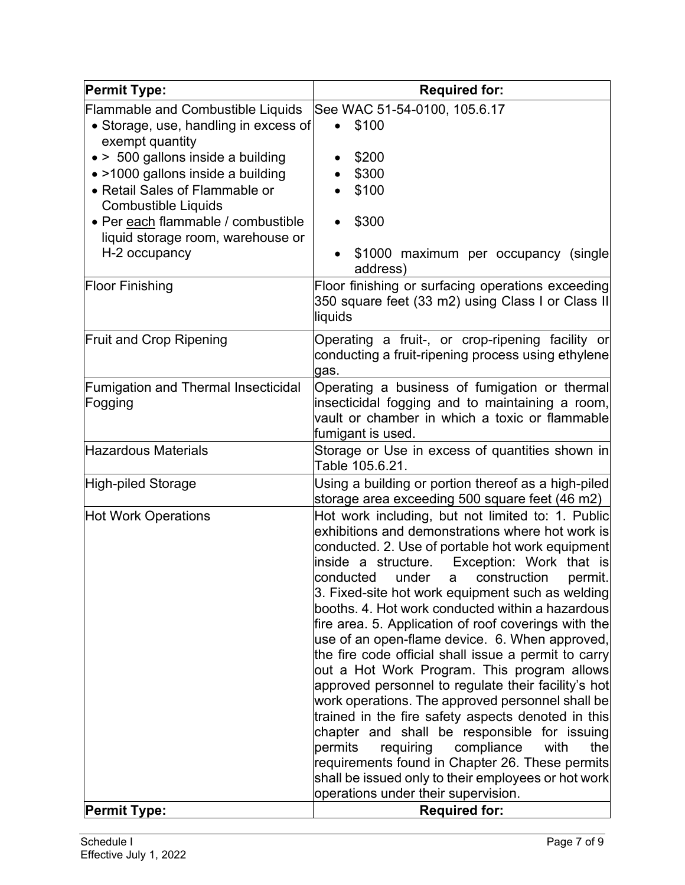| <b>Permit Type:</b>                                                                                                                                                                                                                                   | <b>Required for:</b>                                                                                                                                                                                                                                                                                                                                                                                                                                                                                                                                                                                                                                                                                                                                                                                                                                                                                                                                                                                        |
|-------------------------------------------------------------------------------------------------------------------------------------------------------------------------------------------------------------------------------------------------------|-------------------------------------------------------------------------------------------------------------------------------------------------------------------------------------------------------------------------------------------------------------------------------------------------------------------------------------------------------------------------------------------------------------------------------------------------------------------------------------------------------------------------------------------------------------------------------------------------------------------------------------------------------------------------------------------------------------------------------------------------------------------------------------------------------------------------------------------------------------------------------------------------------------------------------------------------------------------------------------------------------------|
| Flammable and Combustible Liquids<br>• Storage, use, handling in excess of                                                                                                                                                                            | See WAC 51-54-0100, 105.6.17<br>\$100                                                                                                                                                                                                                                                                                                                                                                                                                                                                                                                                                                                                                                                                                                                                                                                                                                                                                                                                                                       |
| exempt quantity<br>• > 500 gallons inside a building<br>• >1000 gallons inside a building<br>• Retail Sales of Flammable or<br><b>Combustible Liquids</b><br>• Per each flammable / combustible<br>liquid storage room, warehouse or<br>H-2 occupancy | \$200<br>\$300<br>\$100<br>\$300<br>\$1000 maximum per occupancy (single                                                                                                                                                                                                                                                                                                                                                                                                                                                                                                                                                                                                                                                                                                                                                                                                                                                                                                                                    |
| <b>Floor Finishing</b>                                                                                                                                                                                                                                | address)<br>Floor finishing or surfacing operations exceeding<br>350 square feet (33 m2) using Class I or Class II<br>liquids                                                                                                                                                                                                                                                                                                                                                                                                                                                                                                                                                                                                                                                                                                                                                                                                                                                                               |
| <b>Fruit and Crop Ripening</b>                                                                                                                                                                                                                        | Operating a fruit-, or crop-ripening facility or<br>conducting a fruit-ripening process using ethylene<br>gas.                                                                                                                                                                                                                                                                                                                                                                                                                                                                                                                                                                                                                                                                                                                                                                                                                                                                                              |
| <b>Fumigation and Thermal Insecticidal</b><br>Fogging                                                                                                                                                                                                 | Operating a business of fumigation or thermal<br>insecticidal fogging and to maintaining a room,<br>vault or chamber in which a toxic or flammable<br>fumigant is used.                                                                                                                                                                                                                                                                                                                                                                                                                                                                                                                                                                                                                                                                                                                                                                                                                                     |
| <b>Hazardous Materials</b>                                                                                                                                                                                                                            | Storage or Use in excess of quantities shown in<br>Table 105.6.21.                                                                                                                                                                                                                                                                                                                                                                                                                                                                                                                                                                                                                                                                                                                                                                                                                                                                                                                                          |
| High-piled Storage                                                                                                                                                                                                                                    | Using a building or portion thereof as a high-piled<br>storage area exceeding 500 square feet (46 m2)                                                                                                                                                                                                                                                                                                                                                                                                                                                                                                                                                                                                                                                                                                                                                                                                                                                                                                       |
| <b>Hot Work Operations</b>                                                                                                                                                                                                                            | Hot work including, but not limited to: 1. Public<br>exhibitions and demonstrations where hot work is<br>conducted. 2. Use of portable hot work equipment<br>inside a structure.<br>Exception: Work that is<br>conducted<br>under a construction<br>permit.<br>3. Fixed-site hot work equipment such as welding<br>booths. 4. Hot work conducted within a hazardous<br>fire area. 5. Application of roof coverings with the<br>use of an open-flame device. 6. When approved,<br>the fire code official shall issue a permit to carry<br>out a Hot Work Program. This program allows<br>approved personnel to regulate their facility's hot<br>work operations. The approved personnel shall be<br>trained in the fire safety aspects denoted in this<br>chapter and shall be responsible for issuing<br>permits<br>requiring<br>compliance<br>with<br>the<br>requirements found in Chapter 26. These permits<br>shall be issued only to their employees or hot work<br>operations under their supervision. |
| <b>Permit Type:</b>                                                                                                                                                                                                                                   | <b>Required for:</b>                                                                                                                                                                                                                                                                                                                                                                                                                                                                                                                                                                                                                                                                                                                                                                                                                                                                                                                                                                                        |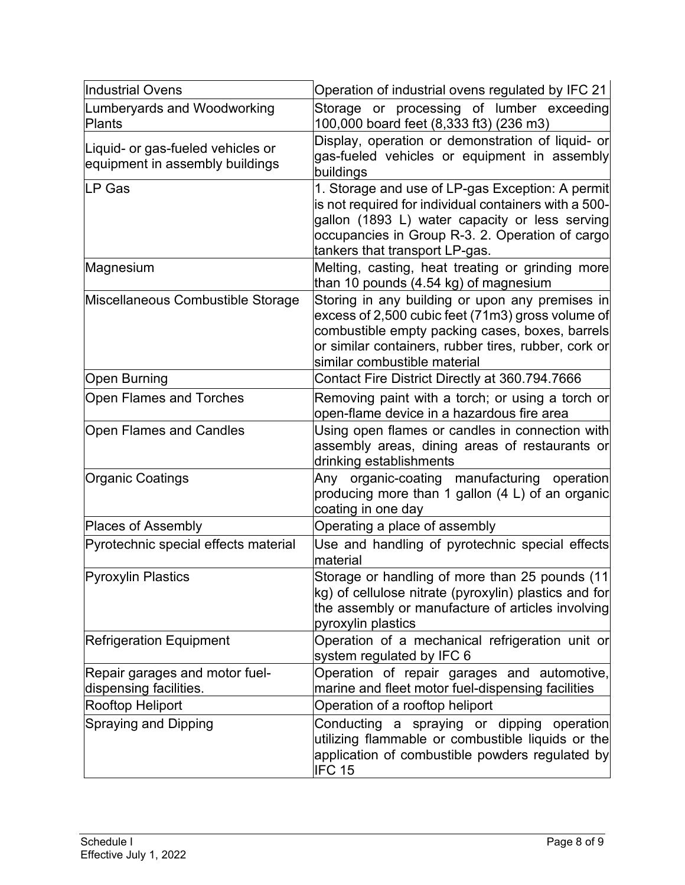| Industrial Ovens                                                     | Operation of industrial ovens regulated by IFC 21                                                                                                                                                                                                |
|----------------------------------------------------------------------|--------------------------------------------------------------------------------------------------------------------------------------------------------------------------------------------------------------------------------------------------|
| Lumberyards and Woodworking<br>Plants                                | Storage or processing of lumber exceeding<br>100,000 board feet (8,333 ft3) (236 m3)                                                                                                                                                             |
| Liquid- or gas-fueled vehicles or<br>equipment in assembly buildings | Display, operation or demonstration of liquid- or<br>gas-fueled vehicles or equipment in assembly<br>buildings                                                                                                                                   |
| LP Gas                                                               | 1. Storage and use of LP-gas Exception: A permit<br>is not required for individual containers with a 500-<br>gallon (1893 L) water capacity or less serving<br>occupancies in Group R-3. 2. Operation of cargo<br>tankers that transport LP-gas. |
| Magnesium                                                            | Melting, casting, heat treating or grinding more<br>than 10 pounds (4.54 kg) of magnesium                                                                                                                                                        |
| Miscellaneous Combustible Storage                                    | Storing in any building or upon any premises in<br>excess of 2,500 cubic feet (71m3) gross volume of<br>combustible empty packing cases, boxes, barrels<br>or similar containers, rubber tires, rubber, cork or<br>similar combustible material  |
| Open Burning                                                         | Contact Fire District Directly at 360.794.7666                                                                                                                                                                                                   |
| <b>Open Flames and Torches</b>                                       | Removing paint with a torch; or using a torch or<br>open-flame device in a hazardous fire area                                                                                                                                                   |
| <b>Open Flames and Candles</b>                                       | Using open flames or candles in connection with<br>assembly areas, dining areas of restaurants or<br>drinking establishments                                                                                                                     |
| <b>Organic Coatings</b>                                              | Any organic-coating manufacturing operation<br>producing more than 1 gallon (4 L) of an organic<br>coating in one day                                                                                                                            |
| Places of Assembly                                                   | Operating a place of assembly                                                                                                                                                                                                                    |
| Pyrotechnic special effects material                                 | Use and handling of pyrotechnic special effects<br>material                                                                                                                                                                                      |
| <b>Pyroxylin Plastics</b>                                            | Storage or handling of more than 25 pounds (11<br>kg) of cellulose nitrate (pyroxylin) plastics and for<br>the assembly or manufacture of articles involving<br>pyroxylin plastics                                                               |
| <b>Refrigeration Equipment</b>                                       | Operation of a mechanical refrigeration unit or<br>system regulated by IFC 6                                                                                                                                                                     |
| Repair garages and motor fuel-<br>dispensing facilities.             | Operation of repair garages and automotive,<br>marine and fleet motor fuel-dispensing facilities                                                                                                                                                 |
| Rooftop Heliport                                                     | Operation of a rooftop heliport                                                                                                                                                                                                                  |
| <b>Spraying and Dipping</b>                                          | Conducting a spraying or dipping operation<br>utilizing flammable or combustible liquids or the<br>application of combustible powders regulated by<br>IFC <sub>15</sub>                                                                          |